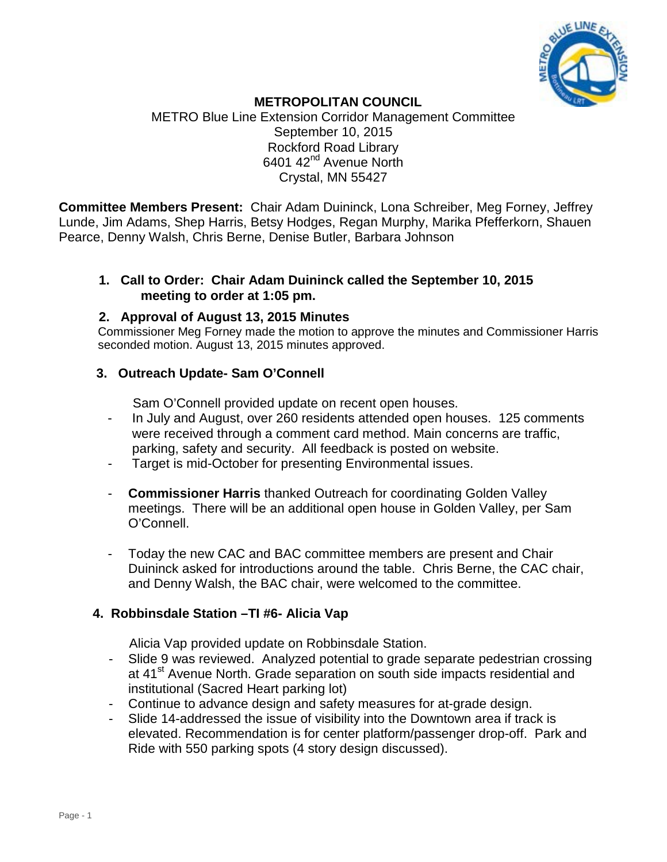

#### **METROPOLITAN COUNCIL**

METRO Blue Line Extension Corridor Management Committee September 10, 2015 Rockford Road Library 6401 42nd Avenue North Crystal, MN 55427

**Committee Members Present:** Chair Adam Duininck, Lona Schreiber, Meg Forney, Jeffrey Lunde, Jim Adams, Shep Harris, Betsy Hodges, Regan Murphy, Marika Pfefferkorn, Shauen Pearce, Denny Walsh, Chris Berne, Denise Butler, Barbara Johnson

## **1. Call to Order: Chair Adam Duininck called the September 10, 2015 meeting to order at 1:05 pm.**

#### **2. Approval of August 13, 2015 Minutes**

Commissioner Meg Forney made the motion to approve the minutes and Commissioner Harris seconded motion. August 13, 2015 minutes approved.

## **3. Outreach Update- Sam O'Connell**

Sam O'Connell provided update on recent open houses.

- In July and August, over 260 residents attended open houses. 125 comments were received through a comment card method. Main concerns are traffic, parking, safety and security. All feedback is posted on website.
- Target is mid-October for presenting Environmental issues.
- **Commissioner Harris** thanked Outreach for coordinating Golden Valley meetings. There will be an additional open house in Golden Valley, per Sam O'Connell.
- Today the new CAC and BAC committee members are present and Chair Duininck asked for introductions around the table. Chris Berne, the CAC chair, and Denny Walsh, the BAC chair, were welcomed to the committee.

## **4. Robbinsdale Station –TI #6- Alicia Vap**

Alicia Vap provided update on Robbinsdale Station.

- Slide 9 was reviewed. Analyzed potential to grade separate pedestrian crossing at 41<sup>st</sup> Avenue North. Grade separation on south side impacts residential and institutional (Sacred Heart parking lot)
- Continue to advance design and safety measures for at-grade design.
- Slide 14-addressed the issue of visibility into the Downtown area if track is elevated. Recommendation is for center platform/passenger drop-off. Park and Ride with 550 parking spots (4 story design discussed).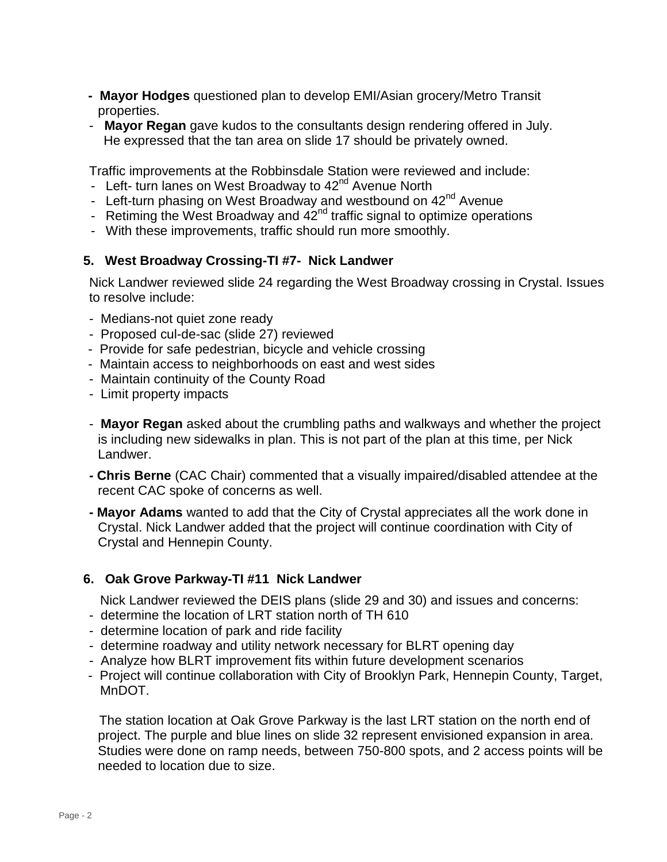- **- Mayor Hodges** questioned plan to develop EMI/Asian grocery/Metro Transit properties.
- - **Mayor Regan** gave kudos to the consultants design rendering offered in July. He expressed that the tan area on slide 17 should be privately owned.

Traffic improvements at the Robbinsdale Station were reviewed and include:

- Left- turn lanes on West Broadway to 42<sup>nd</sup> Avenue North
- Left-turn phasing on West Broadway and westbound on 42<sup>nd</sup> Avenue
- Retiming the West Broadway and  $42<sup>nd</sup>$  traffic signal to optimize operations
- With these improvements, traffic should run more smoothly.

## **5. West Broadway Crossing-TI #7- Nick Landwer**

Nick Landwer reviewed slide 24 regarding the West Broadway crossing in Crystal. Issues to resolve include:

- Medians-not quiet zone ready
- Proposed cul-de-sac (slide 27) reviewed
- Provide for safe pedestrian, bicycle and vehicle crossing
- Maintain access to neighborhoods on east and west sides
- Maintain continuity of the County Road
- Limit property impacts
- **Mayor Regan** asked about the crumbling paths and walkways and whether the project is including new sidewalks in plan. This is not part of the plan at this time, per Nick Landwer.
- **- Chris Berne** (CAC Chair) commented that a visually impaired/disabled attendee at the recent CAC spoke of concerns as well.
- **- Mayor Adams** wanted to add that the City of Crystal appreciates all the work done in Crystal. Nick Landwer added that the project will continue coordination with City of Crystal and Hennepin County.

## **6. Oak Grove Parkway-TI #11 Nick Landwer**

Nick Landwer reviewed the DEIS plans (slide 29 and 30) and issues and concerns:

- determine the location of LRT station north of TH 610
- determine location of park and ride facility
- determine roadway and utility network necessary for BLRT opening day
- Analyze how BLRT improvement fits within future development scenarios
- Project will continue collaboration with City of Brooklyn Park, Hennepin County, Target, MnDOT.

The station location at Oak Grove Parkway is the last LRT station on the north end of project. The purple and blue lines on slide 32 represent envisioned expansion in area. Studies were done on ramp needs, between 750-800 spots, and 2 access points will be needed to location due to size.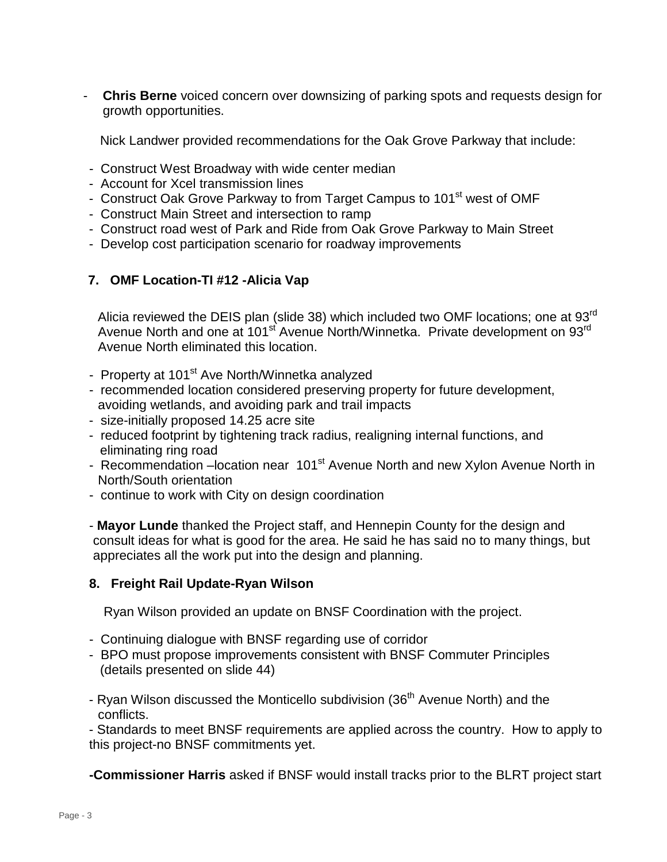- **Chris Berne** voiced concern over downsizing of parking spots and requests design for growth opportunities.

Nick Landwer provided recommendations for the Oak Grove Parkway that include:

- Construct West Broadway with wide center median
- Account for Xcel transmission lines
- Construct Oak Grove Parkway to from Target Campus to 101<sup>st</sup> west of OMF
- Construct Main Street and intersection to ramp
- Construct road west of Park and Ride from Oak Grove Parkway to Main Street
- Develop cost participation scenario for roadway improvements

# **7. OMF Location-TI #12 -Alicia Vap**

Alicia reviewed the DEIS plan (slide 38) which included two OMF locations; one at 93<sup>rd</sup> Avenue North and one at 101<sup>st</sup> Avenue North/Winnetka. Private development on 93<sup>rd</sup> Avenue North eliminated this location.

- Property at 101<sup>st</sup> Ave North/Winnetka analyzed
- recommended location considered preserving property for future development, avoiding wetlands, and avoiding park and trail impacts
- size-initially proposed 14.25 acre site
- reduced footprint by tightening track radius, realigning internal functions, and eliminating ring road
- Recommendation –location near 101<sup>st</sup> Avenue North and new Xylon Avenue North in North/South orientation
- continue to work with City on design coordination

- **Mayor Lunde** thanked the Project staff, and Hennepin County for the design and consult ideas for what is good for the area. He said he has said no to many things, but appreciates all the work put into the design and planning.

#### **8. Freight Rail Update-Ryan Wilson**

Ryan Wilson provided an update on BNSF Coordination with the project.

- Continuing dialogue with BNSF regarding use of corridor
- BPO must propose improvements consistent with BNSF Commuter Principles (details presented on slide 44)
- Ryan Wilson discussed the Monticello subdivision (36<sup>th</sup> Avenue North) and the conflicts.

- Standards to meet BNSF requirements are applied across the country. How to apply to this project-no BNSF commitments yet.

**-Commissioner Harris** asked if BNSF would install tracks prior to the BLRT project start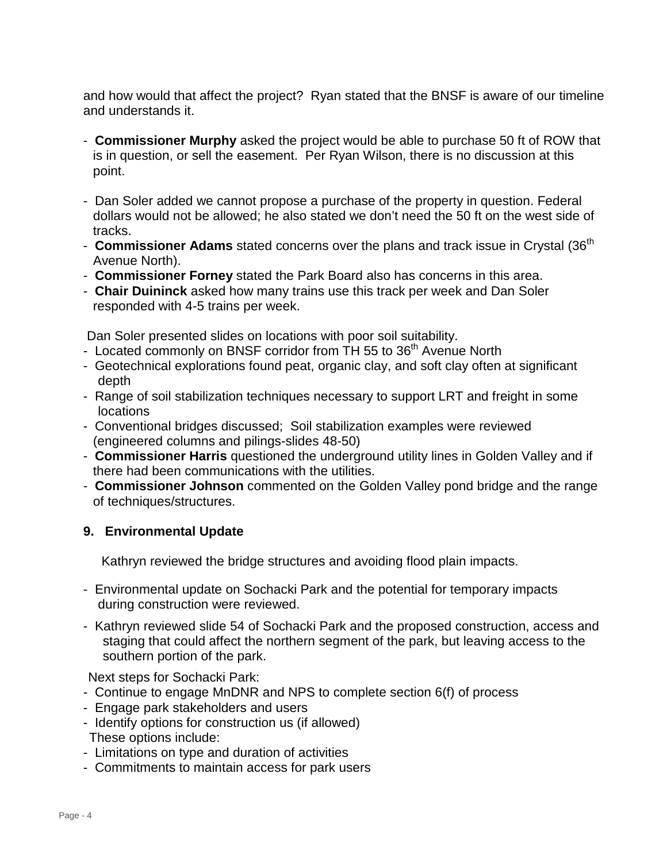and how would that affect the project? Ryan stated that the BNSF is aware of our timeline and understands it.

- **Commissioner Murphy** asked the project would be able to purchase 50 ft of ROW that is in question, or sell the easement. Per Ryan Wilson, there is no discussion at this point.
- Dan Soler added we cannot propose a purchase of the property in question. Federal dollars would not be allowed; he also stated we don't need the 50 ft on the west side of tracks.
- **Commissioner Adams** stated concerns over the plans and track issue in Crystal (36<sup>th</sup> Avenue North).
- **Commissioner Forney** stated the Park Board also has concerns in this area.
- **Chair Duininck** asked how many trains use this track per week and Dan Soler responded with 4-5 trains per week.

Dan Soler presented slides on locations with poor soil suitability.

- Located commonly on BNSF corridor from TH 55 to 36<sup>th</sup> Avenue North
- Geotechnical explorations found peat, organic clay, and soft clay often at significant depth
- Range of soil stabilization techniques necessary to support LRT and freight in some locations
- Conventional bridges discussed; Soil stabilization examples were reviewed (engineered columns and pilings-slides 48-50)
- **Commissioner Harris** questioned the underground utility lines in Golden Valley and if there had been communications with the utilities.
- **Commissioner Johnson** commented on the Golden Valley pond bridge and the range of techniques/structures.

# **9. Environmental Update**

Kathryn reviewed the bridge structures and avoiding flood plain impacts.

- Environmental update on Sochacki Park and the potential for temporary impacts during construction were reviewed.
- Kathryn reviewed slide 54 of Sochacki Park and the proposed construction, access and staging that could affect the northern segment of the park, but leaving access to the southern portion of the park.

Next steps for Sochacki Park:

- Continue to engage MnDNR and NPS to complete section 6(f) of process
- Engage park stakeholders and users
- Identify options for construction us (if allowed) These options include:
- Limitations on type and duration of activities
- Commitments to maintain access for park users